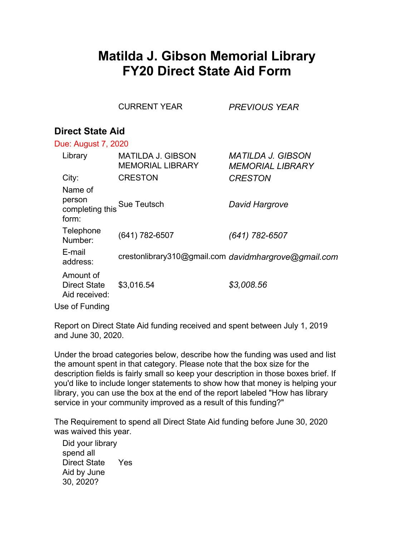## **Matilda J. Gibson Memorial Library FY20 Direct State Aid Form**

CURRENT YEAR *PREVIOUS YEAR*

## **Direct State Aid**

Due: August 7, 2020

| Library                                           | <b>MATILDA J. GIBSON</b><br><b>MEMORIAL LIBRARY</b> | <b>MATILDA J. GIBSON</b><br><b>MEMORIAL LIBRARY</b>  |
|---------------------------------------------------|-----------------------------------------------------|------------------------------------------------------|
| City:                                             | <b>CRESTON</b>                                      | <b>CRESTON</b>                                       |
| Name of<br>person<br>completing this<br>form:     | Sue Teutsch                                         | David Hargrove                                       |
| Telephone<br>Number:                              | (641) 782-6507                                      | (641) 782-6507                                       |
| E-mail<br>address:                                |                                                     | crestonlibrary310@gmail.com davidmhargrove@gmail.com |
| Amount of<br><b>Direct State</b><br>Aid received: | \$3,016.54                                          | \$3,008.56                                           |
| Use of Funding                                    |                                                     |                                                      |

Report on Direct State Aid funding received and spent between July 1, 2019 and June 30, 2020.

Under the broad categories below, describe how the funding was used and list the amount spent in that category. Please note that the box size for the description fields is fairly small so keep your description in those boxes brief. If you'd like to include longer statements to show how that money is helping your library, you can use the box at the end of the report labeled "How has library service in your community improved as a result of this funding?"

The Requirement to spend all Direct State Aid funding before June 30, 2020 was waived this year.

Did your library spend all Direct State Aid by June 30, 2020? Yes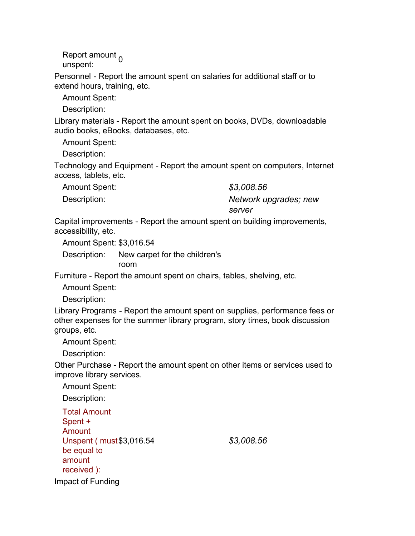Report amount <sub>0</sub><br>unspent:

Personnel - Report the amount spent on salaries for additional staff or to extend hours, training, etc.

Amount Spent:

Description:

Library materials - Report the amount spent on books, DVDs, downloadable audio books, eBooks, databases, etc.

Amount Spent:

Description:

Technology and Equipment - Report the amount spent on computers, Internet access, tablets, etc.

Amount Spent: *\$3,008.56*

Description: *Network upgrades; new server*

Capital improvements - Report the amount spent on building improvements, accessibility, etc.

Amount Spent: \$3,016.54

Description: New carpet for the children's room

Furniture - Report the amount spent on chairs, tables, shelving, etc.

Amount Spent:

Description:

Library Programs - Report the amount spent on supplies, performance fees or other expenses for the summer library program, story times, book discussion groups, etc.

Amount Spent:

Description:

Other Purchase - Report the amount spent on other items or services used to improve library services.

Amount Spent:

Description:

Total Amount Spent + Amount Unspent ( must be equal to amount received ): \$3,016.54 *\$3,008.56* Impact of Funding